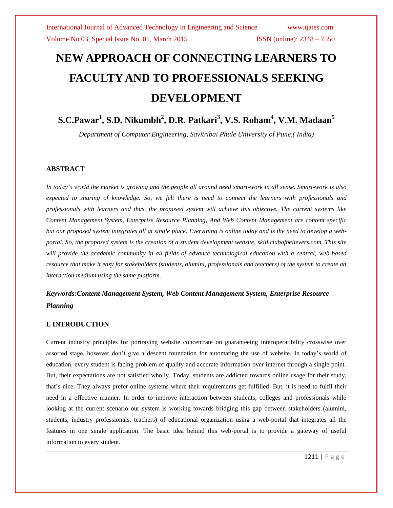# **NEW APPROACH OF CONNECTING LEARNERS TO FACULTY AND TO PROFESSIONALS SEEKING DEVELOPMENT**

# **S.C.Pawar<sup>1</sup> , S.D. Nikumbh<sup>2</sup> , D.R. Patkari<sup>3</sup> , V.S. Roham<sup>4</sup> , V.M. Madaan<sup>5</sup>**

*Department of Computer Engineering, Savitribai Phule University of Pune,( India)*

### **ABSTRACT**

*In today's world the market is growing and the people all around need smart-work in all sense. Smart-work is also expected to sharing of knowledge. So, we felt there is need to connect the learners with professionals and professionals with learners and thus, the proposed system will achieve this objective. The current systems like Content Management System, Enterprise Resource Planning, And Web Content Management are content specific but our proposed system integrates all at single place. Everything is online today and is the need to develop a webportal. So, the proposed system is the creation of a student development website, skill.clubofbelievers.com. This site will provide the academic community in all fields of advance technological education with a central, web-based resource that make it easy for stakeholders (students, alumini, professionals and teachers) of the system to create an interaction medium using the same platform.*

# *Keywords:Content Management System, Web Content Management System, Enterprise Resource Planning*

### **I. INTRODUCTION**

Current industry principles for portraying website concentrate on guaranteeing interoperatibility crosswise over assorted stage, however don't give a descent foundation for automating the use of website. In today's world of education, every student is facing problem of quality and accurate information over internet through a single point. But, their expectations are not satisfied wholly. Today, students are addicted towards online usage for their study, that's nice. They always prefer online systems where their requirements get fulfilled. But, it is need to fulfil their need in a effective manner. In order to improve interaction between students, colleges and professionals while looking at the current scenario our system is working towards bridging this gap between stakeholders (alumini, students, industry professionals, teachers) of educational organization using a web-portal that integrates all the features in one single application. The basic idea behind this web-portal is to provide a gateway of useful information to every student.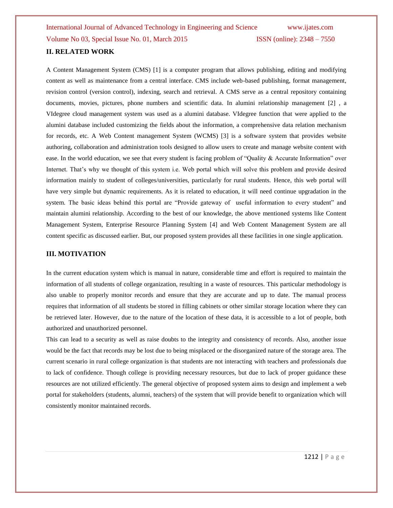International Journal of Advanced Technology in Engineering and Science www.ijates.com Volume No 03, Special Issue No. 01, March 2015 ISSN (online): 2348 – 7550 **II. RELATED WORK**

A Content Management System (CMS) [1] is a computer program that allows publishing, editing and modifying content as well as maintenance from a central interface. CMS include web-based publishing, format management, revision control (version control), indexing, search and retrieval. A CMS serve as a central repository containing documents, movies, pictures, phone numbers and scientific data. In alumini relationship management [2] , a VIdegree cloud management system was used as a alumini database. VIdegree function that were applied to the alumini database included customizing the fields about the information, a comprehensive data relation mechanism for records, etc. A Web Content management System (WCMS) [3] is a software system that provides website authoring, collaboration and administration tools designed to allow users to create and manage website content with ease. In the world education, we see that every student is facing problem of "Quality & Accurate Information" over Internet. That's why we thought of this system i.e. Web portal which will solve this problem and provide desired information mainly to student of colleges/universities, particularly for rural students. Hence, this web portal will have very simple but dynamic requirements. As it is related to education, it will need continue upgradation in the system. The basic ideas behind this portal are "Provide gateway of useful information to every student" and maintain alumini relationship. According to the best of our knowledge, the above mentioned systems like Content Management System, Enterprise Resource Planning System [4] and Web Content Management System are all content specific as discussed earlier. But, our proposed system provides all these facilities in one single application.

### **III. MOTIVATION**

In the current education system which is manual in nature, considerable time and effort is required to maintain the information of all students of college organization, resulting in a waste of resources. This particular methodology is also unable to properly monitor records and ensure that they are accurate and up to date. The manual process requires that information of all students be stored in filling cabinets or other similar storage location where they can be retrieved later. However, due to the nature of the location of these data, it is accessible to a lot of people, both authorized and unauthorized personnel.

This can lead to a security as well as raise doubts to the integrity and consistency of records. Also, another issue would be the fact that records may be lost due to being misplaced or the disorganized nature of the storage area. The current scenario in rural college organization is that students are not interacting with teachers and professionals due to lack of confidence. Though college is providing necessary resources, but due to lack of proper guidance these resources are not utilized efficiently. The general objective of proposed system aims to design and implement a web portal for stakeholders (students, alumni, teachers) of the system that will provide benefit to organization which will consistently monitor maintained records.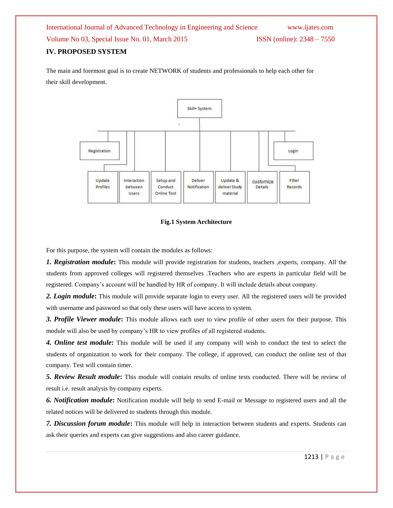# International Journal of Advanced Technology in Engineering and Science www.ijates.com Volume No 03, Special Issue No. 01, March 2015 ISSN (online): 2348 – 7550 **IV. PROPOSED SYSTEM**

The main and foremost goal is to create NETWORK of students and professionals to help each other for their skill development.



### **Fig.1 System Architecture**

For this purpose, the system will contain the modules as follows:

*1. Registration module***:** This module will provide registration for students, teachers ,experts, company. All the students from approved colleges will registered themselves .Teachers who are experts in particular field will be registered. Company's account will be handled by HR of company. It will include details about company.

*2. Login module***:** This module will provide separate login to every user. All the registered users will be provided with username and password so that only these users will have access to system.

*3. Profile Viewer module***:** This module allows each user to view profile of other users for their purpose. This module will also be used by company's HR to view profiles of all registered students.

*4. Online test module***:** This module will be used if any company will wish to conduct the test to select the students of organization to work for their company. The college, if approved, can conduct the online test of that company. Test will contain timer.

*5. Review Result module***:** This module will contain results of online tests conducted. There will be review of result i.e. result analysis by company experts.

*6. Notification module***:** Notification module will help to send E-mail or Message to registered users and all the related notices will be delivered to students through this module.

*7. Discussion forum module***:** This module will help in interaction between students and experts. Students can ask their queries and experts can give suggestions and also career guidance.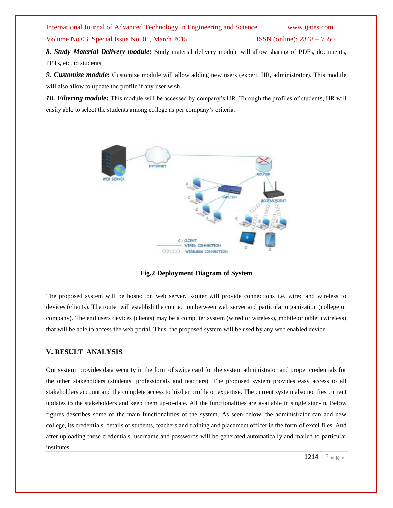# International Journal of Advanced Technology in Engineering and Science www.ijates.com

Volume No 03, Special Issue No. 01, March 2015 ISSN (online): 2348 – 7550

*8. Study Material Delivery module***:** Study material delivery module will allow sharing of PDFs, documents, PPTs, etc. to students.

*9. Customize module***:** Customize module will allow adding new users (expert, HR, administrator). This module will also allow to update the profile if any user wish.

*10. Filtering module***:** This module will be accessed by company's HR. Through the profiles of students, HR will easily able to select the students among college as per company's criteria.



**Fig.2 Deployment Diagram of System**

The proposed system will be hosted on web server. Router will provide connections i.e. wired and wireless to devices (clients). The router will establish the connection between web server and particular organization (college or company). The end users devices (clients) may be a computer system (wired or wireless), mobile or tablet (wireless) that will be able to access the web portal. Thus, the proposed system will be used by any web enabled device.

### **V. RESULT ANALYSIS**

Our system provides data security in the form of swipe card for the system administrator and proper credentials for the other stakeholders (students, professionals and teachers). The proposed system provides easy access to all stakeholders account and the complete access to his/her profile or expertise. The current system also notifies current updates to the stakeholders and keep them up-to-date. All the functionalities are available in single sign-in. Below figures describes some of the main functionalities of the system. As seen below, the administrator can add new college, its credentials, details of students, teachers and training and placement officer in the form of excel files. And after uploading these credentials, username and passwords will be generated automatically and mailed to particular institutes.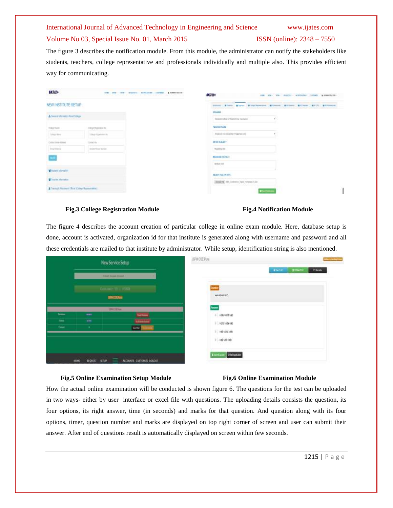### International Journal of Advanced Technology in Engineering and Science www.ijates.com

### Volume No 03, Special Issue No. 01, March 2015 **ISSN** (online): 2348 – 7550

The figure 3 describes the notification module. From this module, the administrator can notify the stakeholders like students, teachers, college representative and professionals individually and multiple also. This provides efficient way for communicating.

| <b>LC7II+</b>                                                     |                     | ANY YOR BILETIC SCREAMS INTER 'A AMERICAN | <b>ACJU+</b>                                                                           |                  |  | and any yes, expertise company comes a constitute. |
|-------------------------------------------------------------------|---------------------|-------------------------------------------|----------------------------------------------------------------------------------------|------------------|--|----------------------------------------------------|
| NEW INSTITUTE SETUP                                               |                     |                                           | 100ml EDIN   Elero   EDINbenton   Ethenol.   Elibert   Elibert   EUS)   Elibert<br>--- |                  |  |                                                    |
| A Twenty Market's Road College<br><b>PERSONAL PROPERTY AND IN</b> |                     |                                           | 2011/01/01<br>To presticable of Expensive Associates                                   | P.               |  |                                                    |
| Delcare                                                           | City has been       |                                           | <b>KSP OF CARRIS REPORT</b><br><b>TERCHOR SAME</b>                                     |                  |  |                                                    |
| <b>Like Sec</b>                                                   | Today Algorithm No. |                                           | Analysis in chickens in government                                                     |                  |  |                                                    |
| Collectived Arrest                                                | Contact Plan        |                                           | <b>A.S. Z. Scott Midwell 1</b><br><b>JETGE BJRJETT</b>                                 |                  |  |                                                    |
| <b>Surveys</b>                                                    | <b>DISTURBANCE</b>  |                                           | mantique.                                                                              |                  |  |                                                    |
| u)                                                                |                     |                                           | <b>REDUCED DETAILS</b>                                                                 |                  |  |                                                    |
|                                                                   |                     |                                           | welco to !                                                                             |                  |  |                                                    |
| M Halen Margalini<br><b>Committee Committee</b>                   |                     |                                           | <b>SEACT FLAIR RWY</b>                                                                 |                  |  |                                                    |
| <b>Wilson Monate</b>                                              |                     |                                           | and an advertising the process of the con-<br>Search (22, lowest law, branch) or       |                  |  |                                                    |
| A Towny & Haustern Older College Reservational                    |                     |                                           |                                                                                        | <b>RSchwei</b> n |  |                                                    |

### **Fig.3 College Registration Module Fig.4 Notification Module**

The figure 4 describes the account creation of particular college in online exam module. Here, database setup is done, account is activated, organization id for that institute is generated along with username and password and all these credentials are mailed to that institute by administrator. While setup, identification string is also mentioned.

| New Service Setup                          |                        |                                                           | JPM COE Pure                                          | your Listing Line |
|--------------------------------------------|------------------------|-----------------------------------------------------------|-------------------------------------------------------|-------------------|
|                                            | <b>CEN board blood</b> |                                                           | <b>Barriet Banker</b>                                 | <b>Think</b>      |
| <b>Cultures 19   FOUR</b><br><b>BRIDGE</b> |                        |                                                           | <b>Quest</b><br>mmms                                  |                   |
| <b>fame</b><br><b>Text</b><br>Dealer.      | $-$<br>$\frac{1}{2}$   | <b>PALLER</b><br><b>Not Service</b><br><b>Suite</b>       | Atones<br>1 year old year<br>1 votinized<br>1 HEIGHTH |                   |
|                                            | REQUEST<br>HDME        | <b>TANKS</b><br><b>SETUP</b><br>ACCOUNTS CUSTOMER: LOGOUT | <b>I</b> wishe<br><b>Allent Ave., Distinguisher</b>   |                   |

### **Fig.5 Online Examination Setup Module Fig.6 Online Examination Module**

How the actual online examination will be conducted is shown figure 6. The questions for the test can be uploaded in two ways- either by user interface or excel file with questions. The uploading details consists the question, its four options, its right answer, time (in seconds) and marks for that question. And question along with its four options, timer, question number and marks are displayed on top right corner of screen and user can submit their answer. After end of questions result is automatically displayed on screen within few seconds.